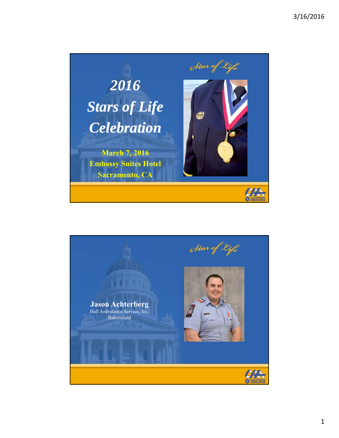

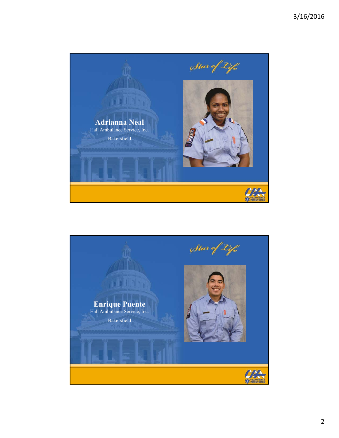

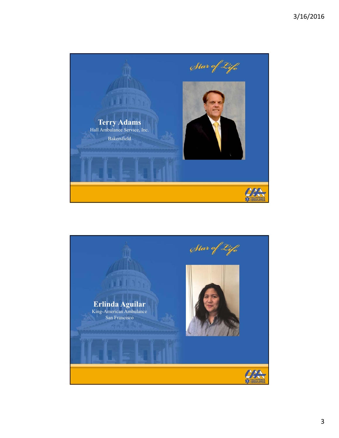

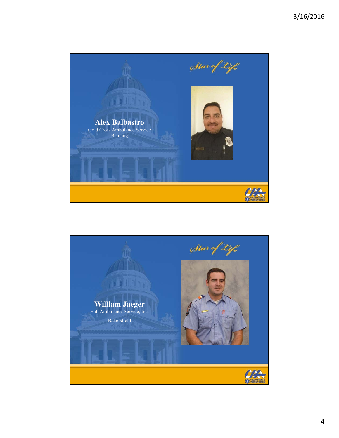

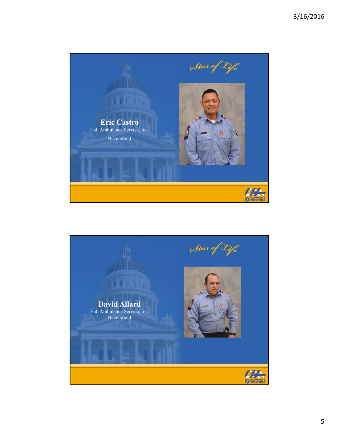

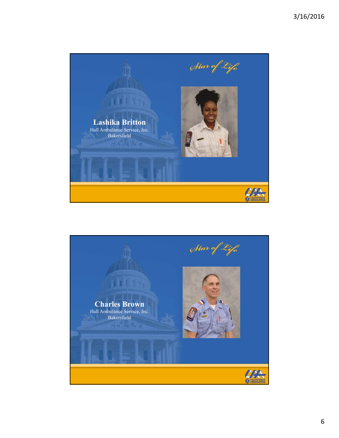

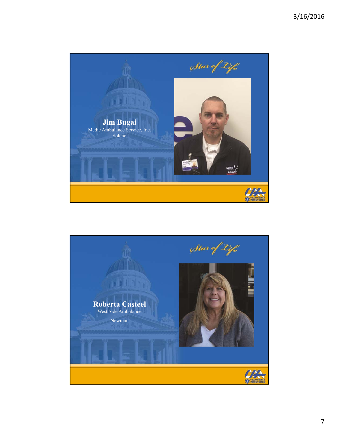

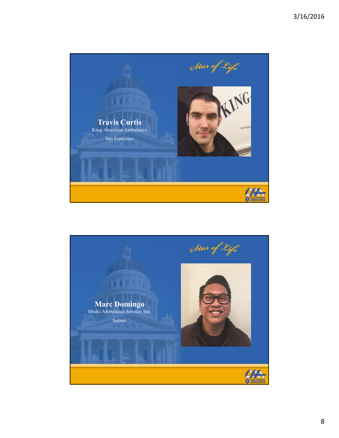

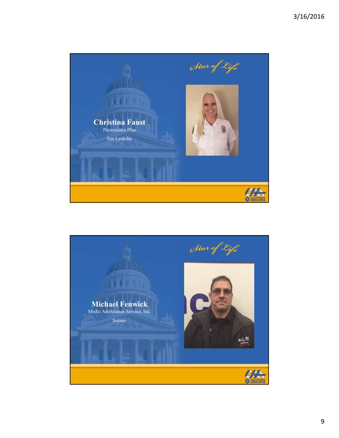

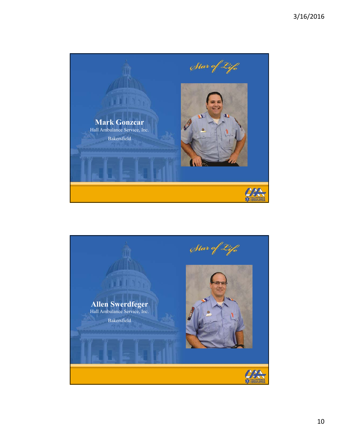

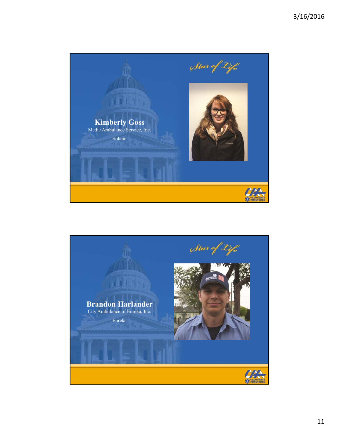

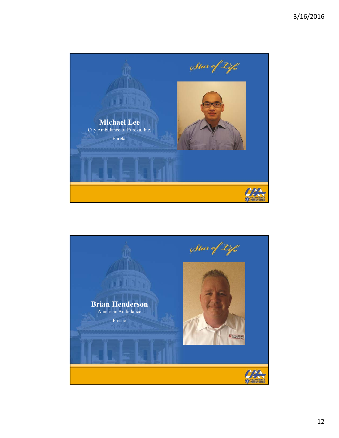

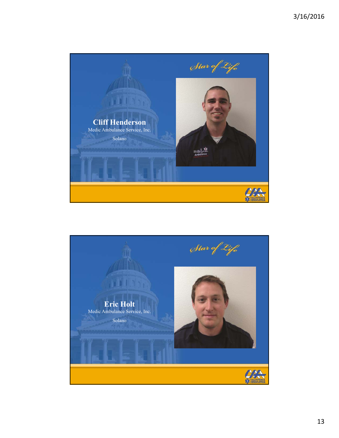

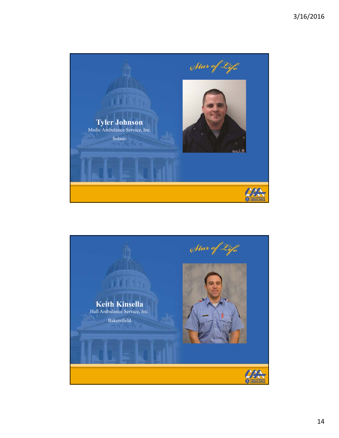

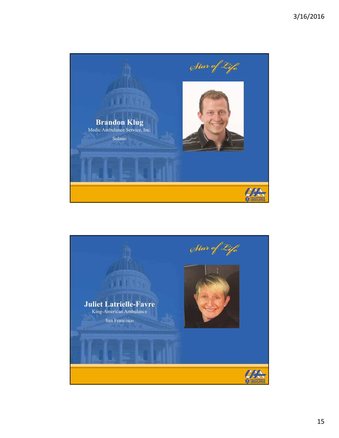

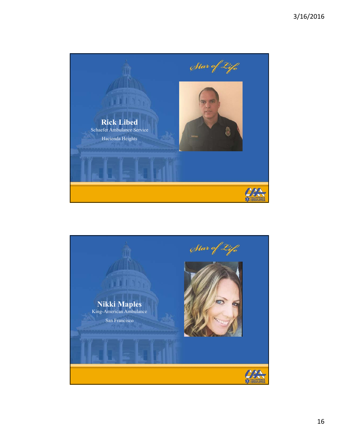

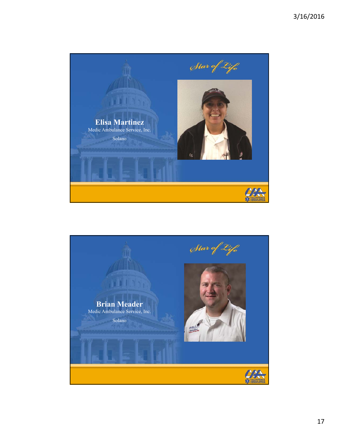

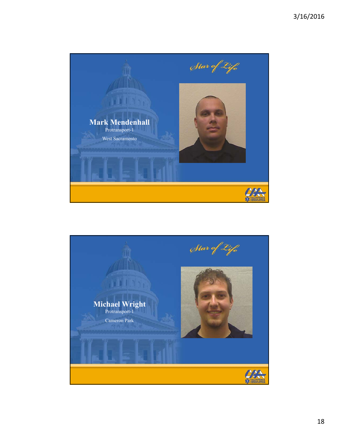

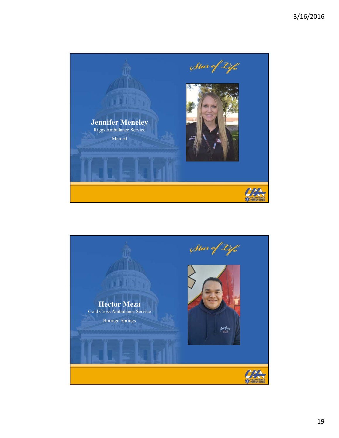

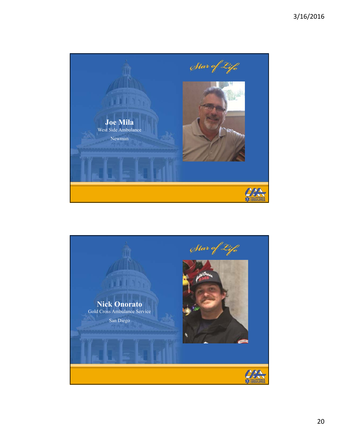

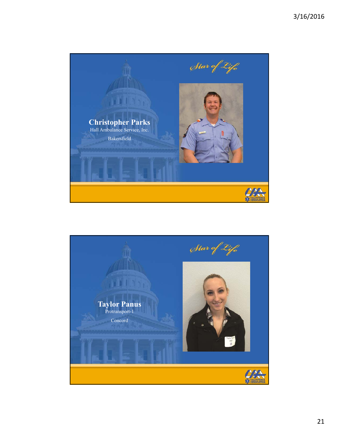

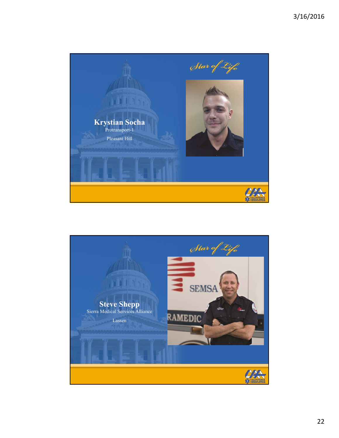

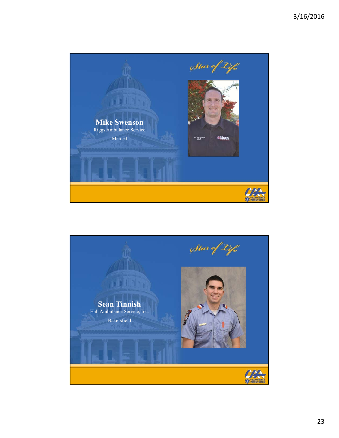

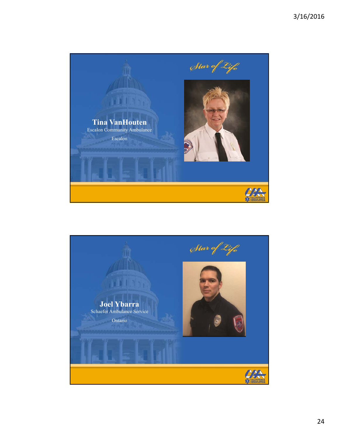